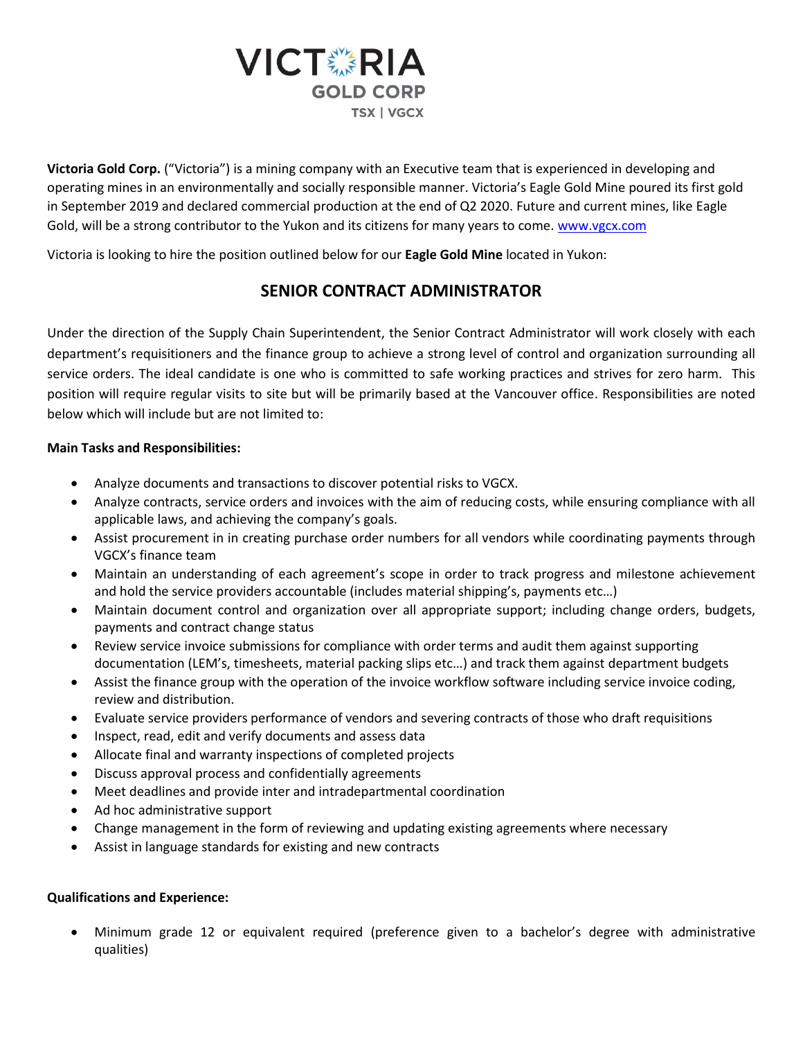

**Victoria Gold Corp.** ("Victoria") is a mining company with an Executive team that is experienced in developing and operating mines in an environmentally and socially responsible manner. Victoria's Eagle Gold Mine poured its first gold in September 2019 and declared commercial production at the end of Q2 2020. Future and current mines, like Eagle Gold, will be a strong contributor to the Yukon and its citizens for many years to come. [www.vgcx.com](http://www.vgcx.com/)

Victoria is looking to hire the position outlined below for our **Eagle Gold Mine** located in Yukon:

## **SENIOR CONTRACT ADMINISTRATOR**

Under the direction of the Supply Chain Superintendent, the Senior Contract Administrator will work closely with each department's requisitioners and the finance group to achieve a strong level of control and organization surrounding all service orders. The ideal candidate is one who is committed to safe working practices and strives for zero harm. This position will require regular visits to site but will be primarily based at the Vancouver office. Responsibilities are noted below which will include but are not limited to:

## **Main Tasks and Responsibilities:**

- Analyze documents and transactions to discover potential risks to VGCX.
- Analyze contracts, service orders and invoices with the aim of reducing costs, while ensuring compliance with all applicable laws, and achieving the company's goals.
- Assist procurement in in creating purchase order numbers for all vendors while coordinating payments through VGCX's finance team
- Maintain an understanding of each agreement's scope in order to track progress and milestone achievement and hold the service providers accountable (includes material shipping's, payments etc…)
- Maintain document control and organization over all appropriate support; including change orders, budgets, payments and contract change status
- Review service invoice submissions for compliance with order terms and audit them against supporting documentation (LEM's, timesheets, material packing slips etc…) and track them against department budgets
- Assist the finance group with the operation of the invoice workflow software including service invoice coding, review and distribution.
- Evaluate service providers performance of vendors and severing contracts of those who draft requisitions
- Inspect, read, edit and verify documents and assess data
- Allocate final and warranty inspections of completed projects
- Discuss approval process and confidentially agreements
- Meet deadlines and provide inter and intradepartmental coordination
- Ad hoc administrative support
- Change management in the form of reviewing and updating existing agreements where necessary
- Assist in language standards for existing and new contracts

## **Qualifications and Experience:**

• Minimum grade 12 or equivalent required (preference given to a bachelor's degree with administrative qualities)